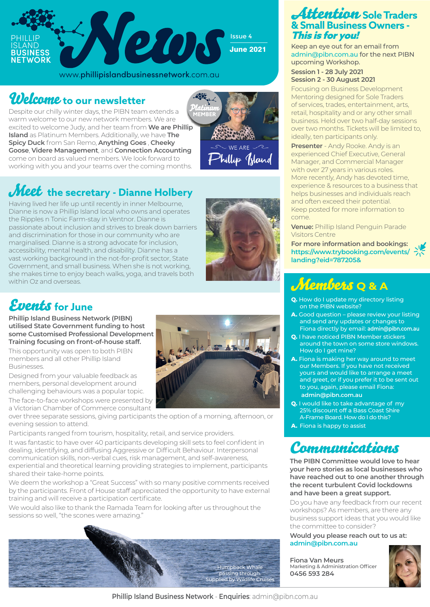

### Welcome **to our newsletter**

Despite our chilly winter days, the PIBN team extends a warm welcome to our new network members. We are excited to welcome Judy, and her team from **We are Phillip Island** as Platinum Members. Additionally, we have **The Spicy Duck** from San Remo, **Anything Goes** , **Cheeky Goose**, **Videre Management**, and **Connection Accounting** come on board as valued members. We look forward to working with you and your teams over the coming months.

## **Meet** the secretary - Dianne Holbery

Having lived her life up until recently in inner Melbourne, Dianne is now a Phillip Island local who owns and operates the Ripples n Tonic Farm-stay in Ventnor. Dianne is passionate about inclusion and strives to break down barriers and discrimination for those in our community who are marginalised. Dianne is a strong advocate for inclusion, accessibility, mental health, and disability. Dianne has a vast working background in the not-for-profit sector, State Government, and small business. When she is not working, she makes time to enjoy beach walks, yoga, and travels both within Oz and overseas.



Phillip Jsland

### Events **for June**

**Phillip Island Business Network (PIBN) utilised State Government funding to host some Customised Professional Development Training focusing on front-of-house staff.** 

This opportunity was open to both PIBN members and all other Phillip Island Businesses.

Designed from your valuable feedback as members, personal development around challenging behaviours was a popular topic. The face-to-face workshops were presented by

a Victorian Chamber of Commerce consultant over three separate sessions, giving participants the option of a morning, afternoon, or evening session to attend.

Participants ranged from tourism, hospitality, retail, and service providers.

It was fantastic to have over 40 participants developing skill sets to feel confident in dealing, identifying, and diffusing Aggressive or Difficult Behaviour. Interpersonal communication skills, non-verbal cues, risk management, and self-awareness, experiential and theoretical learning providing strategies to implement, participants shared their take-home points.

We deem the workshop a "Great Success" with so many positive comments received by the participants. Front of House staff appreciated the opportunity to have external training and will receive a participation certificate.

We would also like to thank the Ramada Team for looking after us throughout the sessions so well, "the scones were amazing."





### Attention **Sole Traders & Small Business Owners -**  This is for you!

Keep an eye out for an email from admin@pibn.com.au for the next PIBN upcoming Workshop.

#### **Session 1 - 28 July 2021 Session 2 - 30 August 2021**

Focusing on Business Development Mentoring designed for Sole Traders of services, trades, entertainment, arts, retail, hospitality and or any other small business. Held over two half-day sessions over two months. Tickets will be limited to, ideally, ten participants only.

**Presenter** - Andy Rooke. Andy is an experienced Chief Executive, General Manager, and Commercial Manager with over 27 years in various roles. More recently, Andy has devoted time, experience & resources to a business that helps businesses and individuals reach and often exceed their potential. Keep posted for more information to come.

**Venue:** Phillip Island Penguin Parade Visitors Centre

**For more information and bookings: https://www.trybooking.com/events/ landing?eid=787205&**

# Members **Q & A**

- **Q.** How do I update my directory listing on the PIBN website?
- **A.** Good question please review your listing and send any updates or changes to Fiona directly by email: **admin@pibn.com.au**
- **Q.** I have noticed PIBN Member stickers around the town on some store windows. How do I get mine?
- **A.** Fiona is making her way around to meet our Members. If you have not received yours and would like to arrange a meet and greet, or if you prefer it to be sent out to you, again, please email Fiona: **admin@pibn.com.au**
- **Q.** I would like to take advantage of my 25% discount off a Bass Coast Shire A-Frame Board. How do I do this?
- **A.** Fiona is happy to assist

## Communications

**The PIBN Committee would love to hear your hero stories as local businesses who have reached out to one another through the recent turbulent Covid lockdowns and have been a great support.** 

Do you have any feedback from our recent workshops? As members, are there any business support ideas that you would like the committee to consider?

**Would you please reach out to us at: admin@pibn.com.au**

**Fiona Van Meurs** Marketing & Administration Officer **0456 593 284**



**Phillip Island Business Network** - **Enquiries**: admin@pibn.com.au